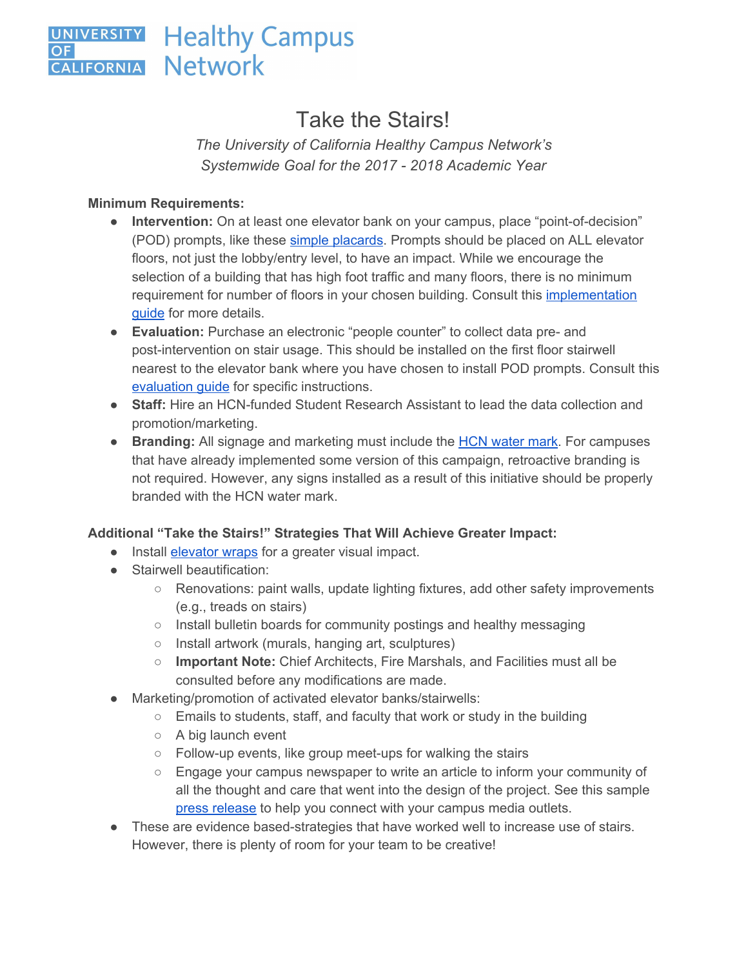# Take the Stairs!

*The University of California Healthy Campus Network's Systemwide Goal for the 2017 - 2018 Academic Year*

## **Minimum Requirements:**

- **Intervention:** On at least one elevator bank on your campus, place "point-of-decision" (POD) prompts, like these simple [placards.](https://drive.google.com/file/d/0BzeQekbPXN25VFBibTVYSGxfTmM/view?usp=sharing) Prompts should be placed on ALL elevator floors, not just the lobby/entry level, to have an impact. While we encourage the selection of a building that has high foot traffic and many floors, there is no minimum requirement for number of floors in your chosen building. Consult this *[implementation](https://docs.google.com/document/d/1kBDyJAvDR9iPRGeMj2ARk2OvKwxD-mIdu7GeJ00mXek/edit)* [guide](https://docs.google.com/document/d/1kBDyJAvDR9iPRGeMj2ARk2OvKwxD-mIdu7GeJ00mXek/edit) for more details.
- **Evaluation:** Purchase an electronic "people counter" to collect data pre- and post-intervention on stair usage. This should be installed on the first floor stairwell nearest to the elevator bank where you have chosen to install POD prompts. Consult this [evaluation](https://docs.google.com/document/d/19-c8Jqd44CvpsWlqj2oa-9IpwEASjIGYMCt8VovU6lQ/edit) guide for specific instructions.
- **Staff:** Hire an HCN-funded Student Research Assistant to lead the data collection and promotion/marketing.
- **Branding:** All signage and marketing must include the HCN [water](https://drive.google.com/file/d/0BzeQekbPXN25b3V5MUlyeTdpUVk/view?usp=sharing) mark. For campuses that have already implemented some version of this campaign, retroactive branding is not required. However, any signs installed as a result of this initiative should be properly branded with the HCN water mark.

# **Additional "Take the Stairs!" Strategies That Will Achieve Greater Impact:**

- Install [elevator](https://drive.google.com/file/d/0BzeQekbPXN25QzJYTnRLLXZSWUU/view?usp=sharing) wraps for a greater visual impact.
- Stairwell beautification:
	- Renovations: paint walls, update lighting fixtures, add other safety improvements (e.g., treads on stairs)
	- Install bulletin boards for community postings and healthy messaging
	- Install artwork (murals, hanging art, sculptures)
	- **Important Note:** Chief Architects, Fire Marshals, and Facilities must all be consulted before any modifications are made.
- Marketing/promotion of activated elevator banks/stairwells:
	- Emails to students, staff, and faculty that work or study in the building
	- A big launch event
	- Follow-up events, like group meet-ups for walking the stairs
	- Engage your campus newspaper to write an article to inform your community of all the thought and care that went into the design of the project. See this sample press [release](https://docs.google.com/document/d/1Dxul1TCJ6aOf36ZLmfzMQ23U6FPcYxHjM-9uKpTTd5I/edit) to help you connect with your campus media outlets.
- These are evidence based-strategies that have worked well to increase use of stairs. However, there is plenty of room for your team to be creative!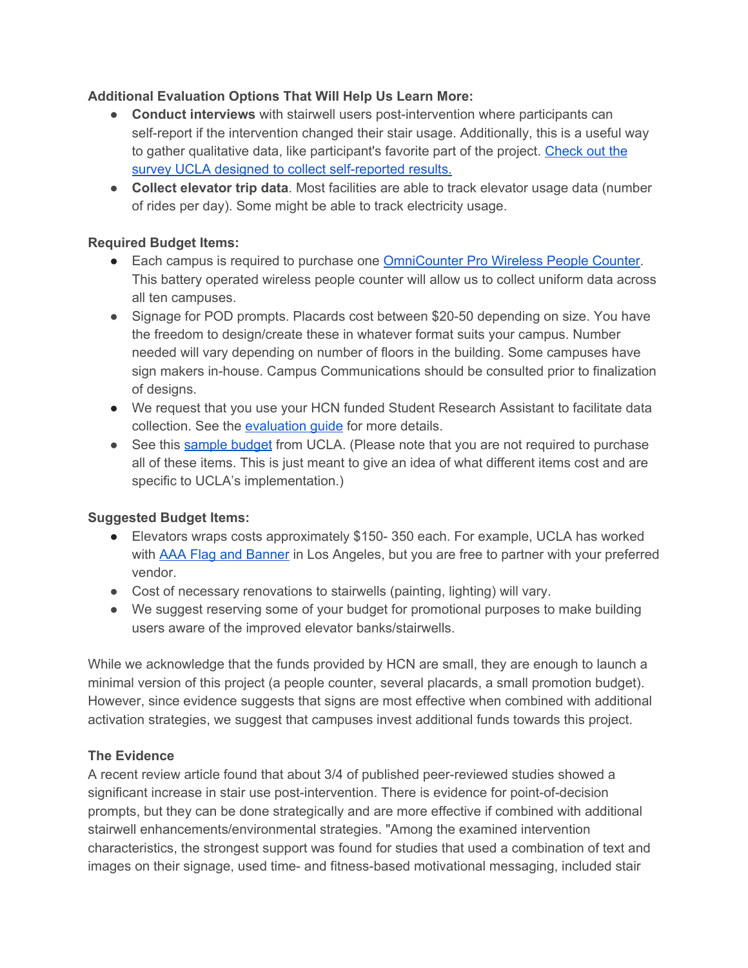## **Additional Evaluation Options That Will Help Us Learn More:**

- **Conduct interviews** with stairwell users post-intervention where participants can self-report if the intervention changed their stair usage. Additionally, this is a useful way to gather qualitative data, like participant's favorite part of the project. [Check](https://drive.google.com/drive/folders/0BzeQekbPXN25QzA4SVNNaWlGdTA) out the survey UCLA designed to collect [self-reported](https://drive.google.com/drive/folders/0BzeQekbPXN25QzA4SVNNaWlGdTA) results.
- **Collect elevator trip data**. Most facilities are able to track elevator usage data (number of rides per day). Some might be able to track electricity usage.

## **Required Budget Items:**

- Each campus is required to purchase one [OmniCounter](http://www.trafsys.com/traf-sys-omnicounter-pro-wireless/) Pro Wireless People Counter. This battery operated wireless people counter will allow us to collect uniform data across all ten campuses.
- Signage for POD prompts. Placards cost between \$20-50 depending on size. You have the freedom to design/create these in whatever format suits your campus. Number needed will vary depending on number of floors in the building. Some campuses have sign makers in-house. Campus Communications should be consulted prior to finalization of designs.
- We request that you use your HCN funded Student Research Assistant to facilitate data collection. See the [evaluation](https://docs.google.com/document/d/19-c8Jqd44CvpsWlqj2oa-9IpwEASjIGYMCt8VovU6lQ/edit) guide for more details.
- See this [sample](https://docs.google.com/document/d/1oSEz8BdrH2FuglgLS4CmSPwXnfB5uM_dSYPY1JE6rfU/edit) budget from UCLA. (Please note that you are not required to purchase all of these items. This is just meant to give an idea of what different items cost and are specific to UCLA's implementation.)

# **Suggested Budget Items:**

- Elevators wraps costs approximately \$150- 350 each. For example, UCLA has worked with AAA Flag and [Banner](http://www.aaaflag.com/services/) in Los Angeles, but you are free to partner with your preferred vendor.
- Cost of necessary renovations to stairwells (painting, lighting) will vary.
- We suggest reserving some of your budget for promotional purposes to make building users aware of the improved elevator banks/stairwells.

While we acknowledge that the funds provided by HCN are small, they are enough to launch a minimal version of this project (a people counter, several placards, a small promotion budget). However, since evidence suggests that signs are most effective when combined with additional activation strategies, we suggest that campuses invest additional funds towards this project.

# **The Evidence**

A recent review article found that about 3/4 of published peer-reviewed studies showed a significant increase in stair use post-intervention. There is evidence for point-of-decision prompts, but they can be done strategically and are more effective if combined with additional stairwell enhancements/environmental strategies. "Among the examined intervention characteristics, the strongest support was found for studies that used a combination of text and images on their signage, used time- and fitness-based motivational messaging, included stair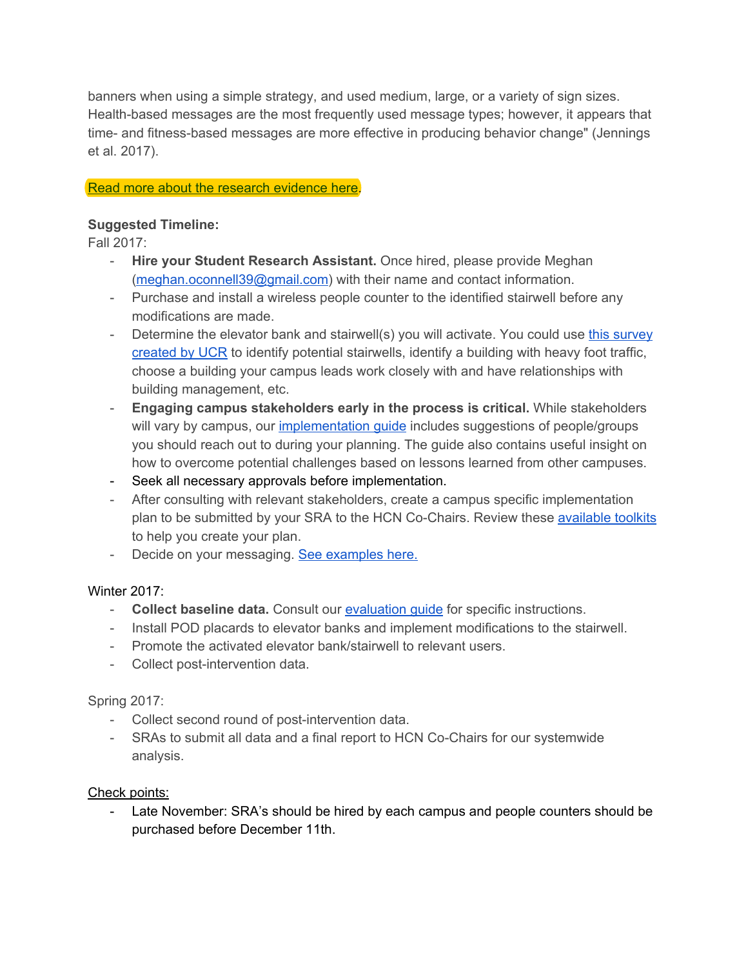banners when using a simple strategy, and used medium, large, or a variety of sign sizes. Health-based messages are the most frequently used message types; however, it appears that time- and fitness-based messages are more effective in producing behavior change" (Jennings et al. 2017).

#### [Read more about the research evidence here](https://drive.google.com/drive/folders/0BzeQekbPXN25cnAtLUFVTHFCTDA).

## **Suggested Timeline:**

Fall 2017:

- **Hire your Student Research Assistant.** Once hired, please provide Meghan ([meghan.oconnell39@gmail.com](mailto:meghan.oconnell39@gmail.com)) with their name and contact information.
- Purchase and install a wireless people counter to the identified stairwell before any modifications are made.
- Determine the elevator bank and stairwell(s) you will activate. You could use [this survey](https://drive.google.com/drive/folders/0BzeQekbPXN25QzA4SVNNaWlGdTA) [created by UCR](https://drive.google.com/drive/folders/0BzeQekbPXN25QzA4SVNNaWlGdTA) to identify potential stairwells, identify a building with heavy foot traffic, choose a building your campus leads work closely with and have relationships with building management, etc.
- **Engaging campus stakeholders early in the process is critical.** While stakeholders will vary by campus, our [implementation guide](https://docs.google.com/document/d/1kBDyJAvDR9iPRGeMj2ARk2OvKwxD-mIdu7GeJ00mXek/edit) includes suggestions of people/groups you should reach out to during your planning. The guide also contains useful insight on how to overcome potential challenges based on lessons learned from other campuses.
- Seek all necessary approvals before implementation.
- After consulting with relevant stakeholders, create a campus specific implementation plan to be submitted by your SRA to the HCN Co-Chairs. Review these [available toolkits](https://drive.google.com/drive/folders/0BzeQekbPXN25MEdRR2JVQUpfUHc) to help you create your plan.
- Decide on your messaging. [See examples here.](https://drive.google.com/drive/folders/0BzeQekbPXN25dkxXTTVwWi1OSm8)

## Winter 2017:

- **Collect baseline data.** Consult our [evaluation guide](https://docs.google.com/document/d/19-c8Jqd44CvpsWlqj2oa-9IpwEASjIGYMCt8VovU6lQ/edit) for specific instructions.
- Install POD placards to elevator banks and implement modifications to the stairwell.
- Promote the activated elevator bank/stairwell to relevant users.
- Collect post-intervention data.

## Spring 2017:

- Collect second round of post-intervention data.
- SRAs to submit all data and a final report to HCN Co-Chairs for our systemwide analysis.

## Check points:

- Late November: SRA's should be hired by each campus and people counters should be purchased before December 11th.